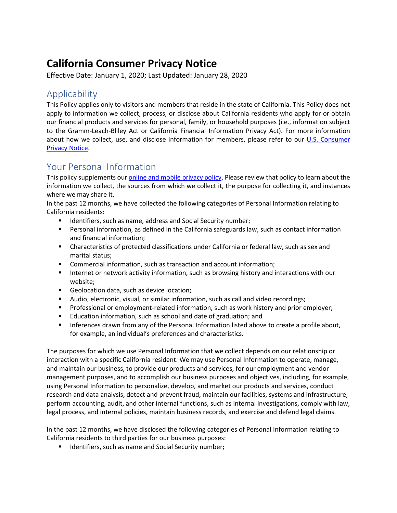# **California Consumer Privacy Notice**

Effective Date: January 1, 2020; Last Updated: January 28, 2020

## Applicability

This Policy applies only to visitors and members that reside in the state of California. This Policy does not apply to information we collect, process, or disclose about California residents who apply for or obtain our financial products and services for personal, family, or household purposes (i.e., information subject to the Gramm-Leach-Bliley Act or California Financial Information Privacy Act). For more information about how we collect, use, and disclose information for members, please refer to our [U.S. Consumer](https://www.sdccu.com/pdfs/account-disclosures/privacy-policy/)  [Privacy Notice.](https://www.sdccu.com/pdfs/account-disclosures/privacy-policy/)

### Your Personal Information

This policy supplements our *online and mobile privacy policy*. Please review that policy to learn about the information we collect, the sources from which we collect it, the purpose for collecting it, and instances where we may share it.

In the past 12 months, we have collected the following categories of Personal Information relating to California residents:

- **IDENTIFIER ISLES** 1 Identifiers, such as name, address and Social Security number;
- Personal information, as defined in the California safeguards law, such as contact information and financial information;
- Characteristics of protected classifications under California or federal law, such as sex and marital status;
- Commercial information, such as transaction and account information;
- **IFM** Internet or network activity information, such as browsing history and interactions with our website;
- Geolocation data, such as device location;
- Audio, electronic, visual, or similar information, such as call and video recordings;
- **Professional or employment-related information, such as work history and prior employer;**
- **Education information, such as school and date of graduation; and**
- **Inferences drawn from any of the Personal Information listed above to create a profile about,** for example, an individual's preferences and characteristics.

The purposes for which we use Personal Information that we collect depends on our relationship or interaction with a specific California resident. We may use Personal Information to operate, manage, and maintain our business, to provide our products and services, for our employment and vendor management purposes, and to accomplish our business purposes and objectives, including, for example, using Personal Information to personalize, develop, and market our products and services, conduct research and data analysis, detect and prevent fraud, maintain our facilities, systems and infrastructure, perform accounting, audit, and other internal functions, such as internal investigations, comply with law, legal process, and internal policies, maintain business records, and exercise and defend legal claims.

In the past 12 months, we have disclosed the following categories of Personal Information relating to California residents to third parties for our business purposes:

**IDENTIFIER IS NOTE 15 IS NOTEN SHOW IS SET IS NOTEN IS NOTEN IS NOTEN.** In Identifiers,  $\mathbf{F}$